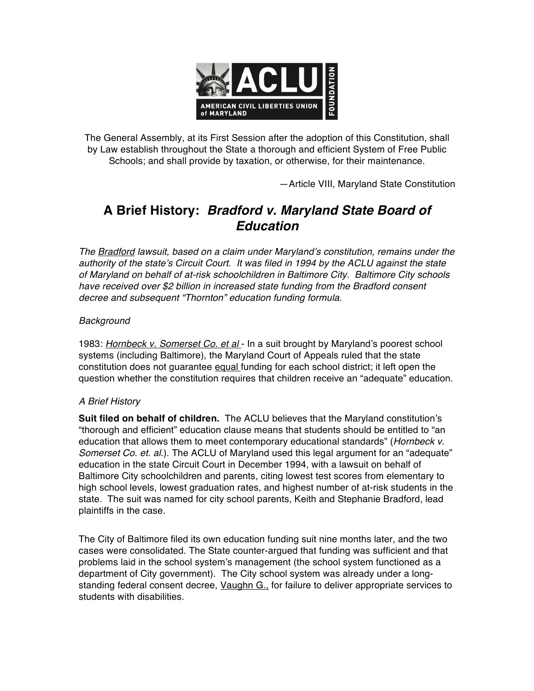

The General Assembly, at its First Session after the adoption of this Constitution, shall by Law establish throughout the State a thorough and efficient System of Free Public Schools; and shall provide by taxation, or otherwise, for their maintenance.

—Article VIII, Maryland State Constitution

## **A Brief History:** *Bradford v. Maryland State Board of Education*

*The Bradford lawsuit, based on a claim under Maryland*'*s constitution, remains under the authority of the state*'*s Circuit Court. It was filed in 1994 by the ACLU against the state of Maryland on behalf of at-risk schoolchildren in Baltimore City. Baltimore City schools have received over \$2 billion in increased state funding from the Bradford consent decree and subsequent "Thornton" education funding formula.*

## *Background*

1983: *Hornbeck v. Somerset Co. et al* - In a suit brought by Maryland's poorest school systems (including Baltimore), the Maryland Court of Appeals ruled that the state constitution does not guarantee equal funding for each school district; it left open the question whether the constitution requires that children receive an "adequate" education.

## *A Brief History*

**Suit filed on behalf of children.** The ACLU believes that the Maryland constitution's "thorough and efficient" education clause means that students should be entitled to "an education that allows them to meet contemporary educational standards" (*Hornbeck v. Somerset Co. et. al*.). The ACLU of Maryland used this legal argument for an "adequate" education in the state Circuit Court in December 1994, with a lawsuit on behalf of Baltimore City schoolchildren and parents, citing lowest test scores from elementary to high school levels, lowest graduation rates, and highest number of at-risk students in the state. The suit was named for city school parents, Keith and Stephanie Bradford, lead plaintiffs in the case.

The City of Baltimore filed its own education funding suit nine months later, and the two cases were consolidated. The State counter-argued that funding was sufficient and that problems laid in the school system's management (the school system functioned as a department of City government). The City school system was already under a longstanding federal consent decree, Vaughn G., for failure to deliver appropriate services to students with disabilities.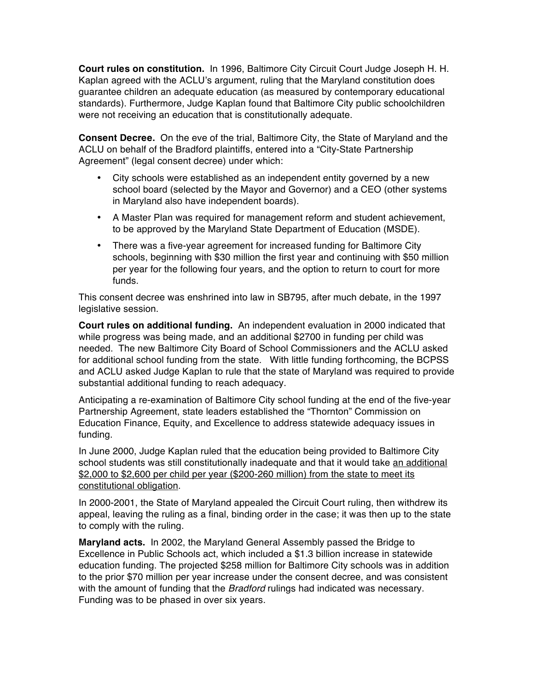**Court rules on constitution.** In 1996, Baltimore City Circuit Court Judge Joseph H. H. Kaplan agreed with the ACLU's argument, ruling that the Maryland constitution does guarantee children an adequate education (as measured by contemporary educational standards). Furthermore, Judge Kaplan found that Baltimore City public schoolchildren were not receiving an education that is constitutionally adequate.

**Consent Decree.** On the eve of the trial, Baltimore City, the State of Maryland and the ACLU on behalf of the Bradford plaintiffs, entered into a "City-State Partnership Agreement" (legal consent decree) under which:

- City schools were established as an independent entity governed by a new school board (selected by the Mayor and Governor) and a CEO (other systems in Maryland also have independent boards).
- A Master Plan was required for management reform and student achievement, to be approved by the Maryland State Department of Education (MSDE).
- There was a five-year agreement for increased funding for Baltimore City schools, beginning with \$30 million the first year and continuing with \$50 million per year for the following four years, and the option to return to court for more funds.

This consent decree was enshrined into law in SB795, after much debate, in the 1997 legislative session.

**Court rules on additional funding.** An independent evaluation in 2000 indicated that while progress was being made, and an additional \$2700 in funding per child was needed. The new Baltimore City Board of School Commissioners and the ACLU asked for additional school funding from the state. With little funding forthcoming, the BCPSS and ACLU asked Judge Kaplan to rule that the state of Maryland was required to provide substantial additional funding to reach adequacy.

Anticipating a re-examination of Baltimore City school funding at the end of the five-year Partnership Agreement, state leaders established the "Thornton" Commission on Education Finance, Equity, and Excellence to address statewide adequacy issues in funding.

In June 2000, Judge Kaplan ruled that the education being provided to Baltimore City school students was still constitutionally inadequate and that it would take an additional \$2,000 to \$2,600 per child per year (\$200-260 million) from the state to meet its constitutional obligation.

In 2000-2001, the State of Maryland appealed the Circuit Court ruling, then withdrew its appeal, leaving the ruling as a final, binding order in the case; it was then up to the state to comply with the ruling.

**Maryland acts.** In 2002, the Maryland General Assembly passed the Bridge to Excellence in Public Schools act, which included a \$1.3 billion increase in statewide education funding. The projected \$258 million for Baltimore City schools was in addition to the prior \$70 million per year increase under the consent decree, and was consistent with the amount of funding that the *Bradford* rulings had indicated was necessary. Funding was to be phased in over six years.